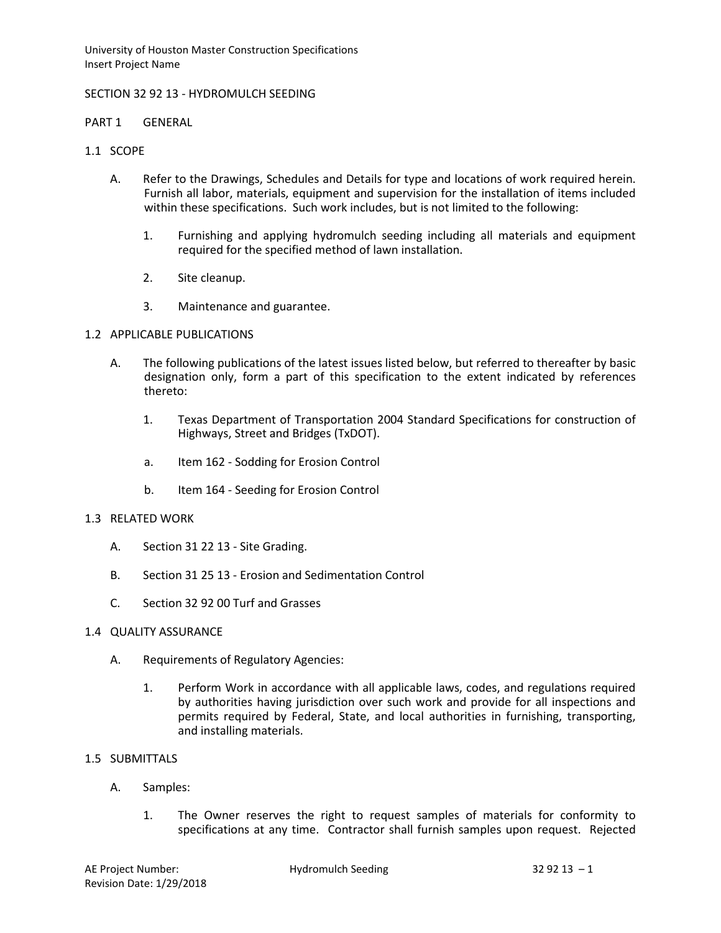University of Houston Master Construction Specifications Insert Project Name

### SECTION 32 92 13 - HYDROMULCH SEEDING

#### PART 1 GENERAL

### 1.1 SCOPE

- A. Refer to the Drawings, Schedules and Details for type and locations of work required herein. Furnish all labor, materials, equipment and supervision for the installation of items included within these specifications. Such work includes, but is not limited to the following:
	- 1. Furnishing and applying hydromulch seeding including all materials and equipment required for the specified method of lawn installation.
	- 2. Site cleanup.
	- 3. Maintenance and guarantee.

## 1.2 APPLICABLE PUBLICATIONS

- A. The following publications of the latest issues listed below, but referred to thereafter by basic designation only, form a part of this specification to the extent indicated by references thereto:
	- 1. Texas Department of Transportation 2004 Standard Specifications for construction of Highways, Street and Bridges (TxDOT).
	- a. Item 162 Sodding for Erosion Control
	- b. Item 164 Seeding for Erosion Control

#### 1.3 RELATED WORK

- A. Section 31 22 13 Site Grading.
- B. Section 31 25 13 Erosion and Sedimentation Control
- C. Section 32 92 00 Turf and Grasses

#### 1.4 QUALITY ASSURANCE

- A. Requirements of Regulatory Agencies:
	- 1. Perform Work in accordance with all applicable laws, codes, and regulations required by authorities having jurisdiction over such work and provide for all inspections and permits required by Federal, State, and local authorities in furnishing, transporting, and installing materials.

#### 1.5 SUBMITTALS

- A. Samples:
	- 1. The Owner reserves the right to request samples of materials for conformity to specifications at any time. Contractor shall furnish samples upon request. Rejected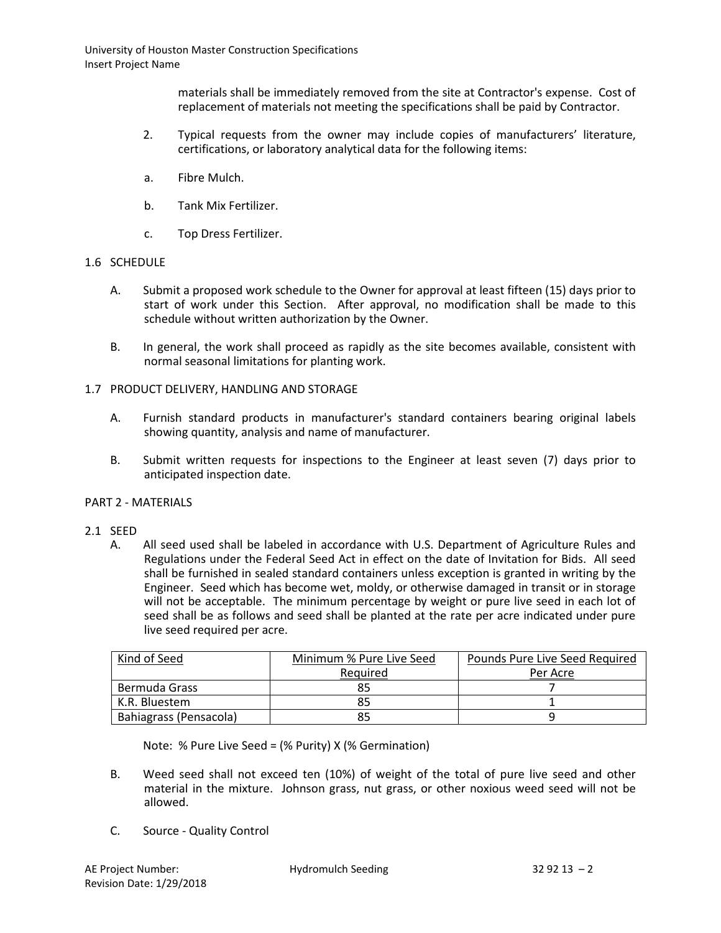materials shall be immediately removed from the site at Contractor's expense. Cost of replacement of materials not meeting the specifications shall be paid by Contractor.

- 2. Typical requests from the owner may include copies of manufacturers' literature, certifications, or laboratory analytical data for the following items:
- a. Fibre Mulch.
- b. Tank Mix Fertilizer.
- c. Top Dress Fertilizer.

## 1.6 SCHEDULE

- A. Submit a proposed work schedule to the Owner for approval at least fifteen (15) days prior to start of work under this Section. After approval, no modification shall be made to this schedule without written authorization by the Owner.
- B. In general, the work shall proceed as rapidly as the site becomes available, consistent with normal seasonal limitations for planting work.

## 1.7 PRODUCT DELIVERY, HANDLING AND STORAGE

- A. Furnish standard products in manufacturer's standard containers bearing original labels showing quantity, analysis and name of manufacturer.
- B. Submit written requests for inspections to the Engineer at least seven (7) days prior to anticipated inspection date.

#### PART 2 - MATERIALS

- 2.1 SEED
	- A. All seed used shall be labeled in accordance with U.S. Department of Agriculture Rules and Regulations under the Federal Seed Act in effect on the date of Invitation for Bids. All seed shall be furnished in sealed standard containers unless exception is granted in writing by the Engineer. Seed which has become wet, moldy, or otherwise damaged in transit or in storage will not be acceptable. The minimum percentage by weight or pure live seed in each lot of seed shall be as follows and seed shall be planted at the rate per acre indicated under pure live seed required per acre.

| Kind of Seed           | Minimum % Pure Live Seed | Pounds Pure Live Seed Required |
|------------------------|--------------------------|--------------------------------|
|                        | Required                 | Per Acre                       |
| Bermuda Grass          |                          |                                |
| K.R. Bluestem          |                          |                                |
| Bahiagrass (Pensacola) |                          |                                |

Note: % Pure Live Seed = (% Purity) X (% Germination)

- B. Weed seed shall not exceed ten (10%) of weight of the total of pure live seed and other material in the mixture. Johnson grass, nut grass, or other noxious weed seed will not be allowed.
- C. Source Quality Control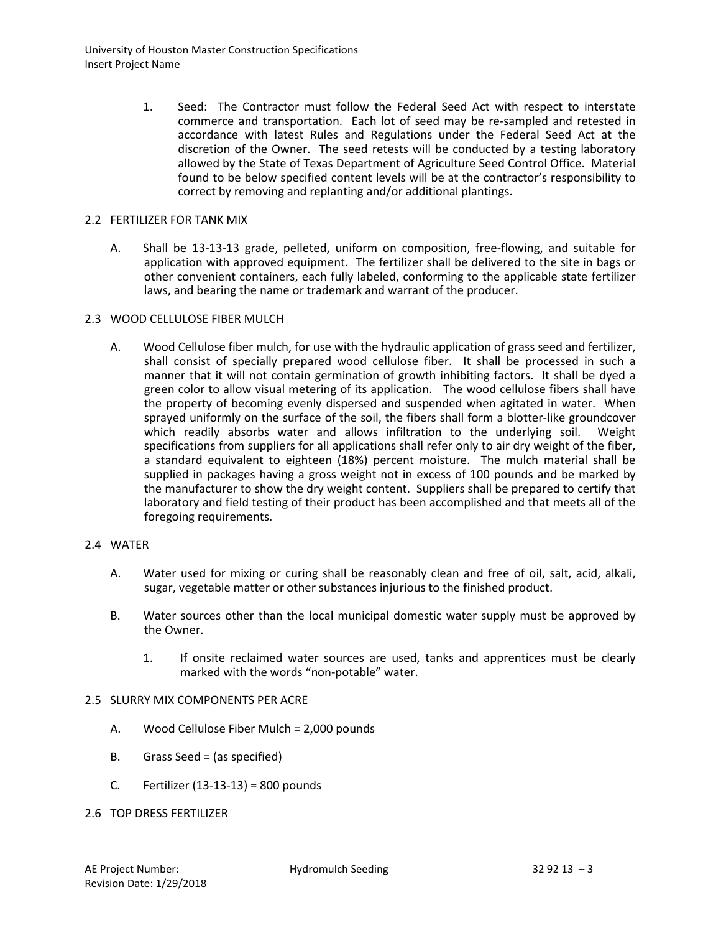1. Seed: The Contractor must follow the Federal Seed Act with respect to interstate commerce and transportation. Each lot of seed may be re-sampled and retested in accordance with latest Rules and Regulations under the Federal Seed Act at the discretion of the Owner. The seed retests will be conducted by a testing laboratory allowed by the State of Texas Department of Agriculture Seed Control Office. Material found to be below specified content levels will be at the contractor's responsibility to correct by removing and replanting and/or additional plantings.

## 2.2 FERTILIZER FOR TANK MIX

A. Shall be 13-13-13 grade, pelleted, uniform on composition, free-flowing, and suitable for application with approved equipment. The fertilizer shall be delivered to the site in bags or other convenient containers, each fully labeled, conforming to the applicable state fertilizer laws, and bearing the name or trademark and warrant of the producer.

## 2.3 WOOD CELLULOSE FIBER MULCH

A. Wood Cellulose fiber mulch, for use with the hydraulic application of grass seed and fertilizer, shall consist of specially prepared wood cellulose fiber. It shall be processed in such a manner that it will not contain germination of growth inhibiting factors. It shall be dyed a green color to allow visual metering of its application. The wood cellulose fibers shall have the property of becoming evenly dispersed and suspended when agitated in water. When sprayed uniformly on the surface of the soil, the fibers shall form a blotter-like groundcover which readily absorbs water and allows infiltration to the underlying soil. Weight specifications from suppliers for all applications shall refer only to air dry weight of the fiber, a standard equivalent to eighteen (18%) percent moisture. The mulch material shall be supplied in packages having a gross weight not in excess of 100 pounds and be marked by the manufacturer to show the dry weight content. Suppliers shall be prepared to certify that laboratory and field testing of their product has been accomplished and that meets all of the foregoing requirements.

## 2.4 WATER

- A. Water used for mixing or curing shall be reasonably clean and free of oil, salt, acid, alkali, sugar, vegetable matter or other substances injurious to the finished product.
- B. Water sources other than the local municipal domestic water supply must be approved by the Owner.
	- 1. If onsite reclaimed water sources are used, tanks and apprentices must be clearly marked with the words "non-potable" water.

# 2.5 SLURRY MIX COMPONENTS PER ACRE

- A. Wood Cellulose Fiber Mulch = 2,000 pounds
- B. Grass Seed = (as specified)
- C. Fertilizer (13-13-13) = 800 pounds
- 2.6 TOP DRESS FERTILIZER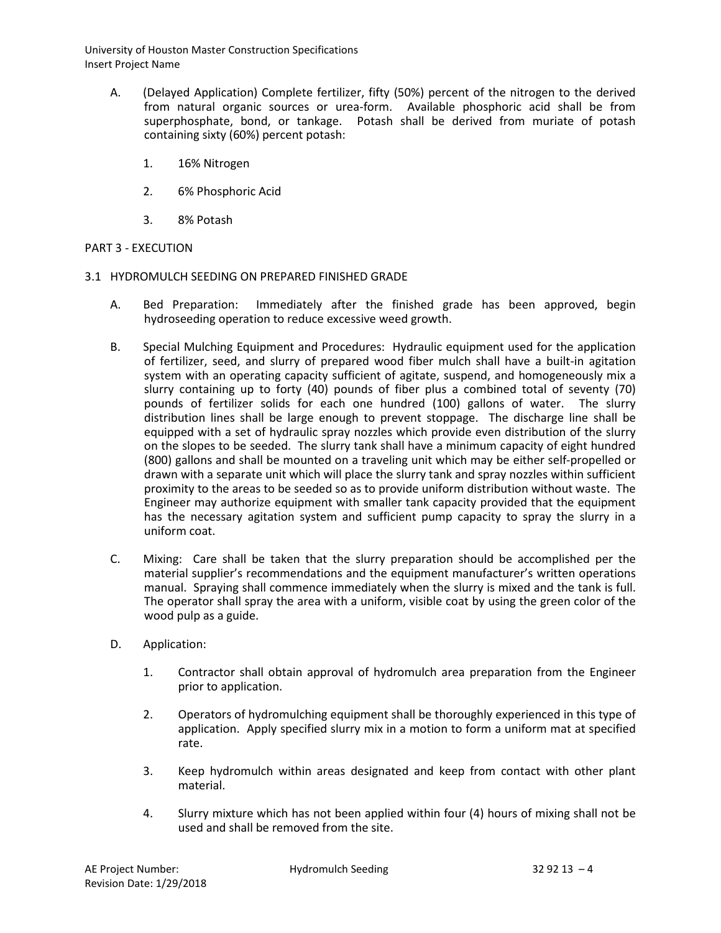University of Houston Master Construction Specifications Insert Project Name

- A. (Delayed Application) Complete fertilizer, fifty (50%) percent of the nitrogen to the derived from natural organic sources or urea-form. Available phosphoric acid shall be from superphosphate, bond, or tankage. Potash shall be derived from muriate of potash containing sixty (60%) percent potash:
	- 1. 16% Nitrogen
	- 2. 6% Phosphoric Acid
	- 3. 8% Potash

## PART 3 - EXECUTION

- 3.1 HYDROMULCH SEEDING ON PREPARED FINISHED GRADE
	- A. Bed Preparation: Immediately after the finished grade has been approved, begin hydroseeding operation to reduce excessive weed growth.
	- B. Special Mulching Equipment and Procedures: Hydraulic equipment used for the application of fertilizer, seed, and slurry of prepared wood fiber mulch shall have a built-in agitation system with an operating capacity sufficient of agitate, suspend, and homogeneously mix a slurry containing up to forty (40) pounds of fiber plus a combined total of seventy (70) pounds of fertilizer solids for each one hundred (100) gallons of water. The slurry distribution lines shall be large enough to prevent stoppage. The discharge line shall be equipped with a set of hydraulic spray nozzles which provide even distribution of the slurry on the slopes to be seeded. The slurry tank shall have a minimum capacity of eight hundred (800) gallons and shall be mounted on a traveling unit which may be either self-propelled or drawn with a separate unit which will place the slurry tank and spray nozzles within sufficient proximity to the areas to be seeded so as to provide uniform distribution without waste. The Engineer may authorize equipment with smaller tank capacity provided that the equipment has the necessary agitation system and sufficient pump capacity to spray the slurry in a uniform coat.
	- C. Mixing: Care shall be taken that the slurry preparation should be accomplished per the material supplier's recommendations and the equipment manufacturer's written operations manual. Spraying shall commence immediately when the slurry is mixed and the tank is full. The operator shall spray the area with a uniform, visible coat by using the green color of the wood pulp as a guide.
	- D. Application:
		- 1. Contractor shall obtain approval of hydromulch area preparation from the Engineer prior to application.
		- 2. Operators of hydromulching equipment shall be thoroughly experienced in this type of application. Apply specified slurry mix in a motion to form a uniform mat at specified rate.
		- 3. Keep hydromulch within areas designated and keep from contact with other plant material.
		- 4. Slurry mixture which has not been applied within four (4) hours of mixing shall not be used and shall be removed from the site.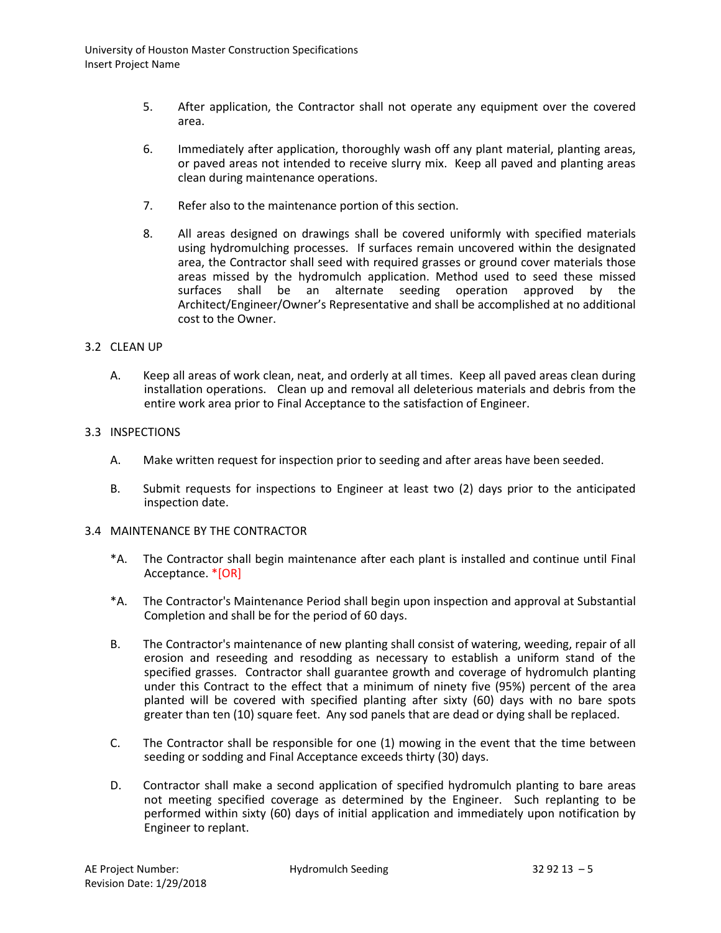- 5. After application, the Contractor shall not operate any equipment over the covered area.
- 6. Immediately after application, thoroughly wash off any plant material, planting areas, or paved areas not intended to receive slurry mix. Keep all paved and planting areas clean during maintenance operations.
- 7. Refer also to the maintenance portion of this section.
- 8. All areas designed on drawings shall be covered uniformly with specified materials using hydromulching processes. If surfaces remain uncovered within the designated area, the Contractor shall seed with required grasses or ground cover materials those areas missed by the hydromulch application. Method used to seed these missed surfaces shall be an alternate seeding operation approved by the Architect/Engineer/Owner's Representative and shall be accomplished at no additional cost to the Owner.

#### 3.2 CLEAN UP

A. Keep all areas of work clean, neat, and orderly at all times. Keep all paved areas clean during installation operations. Clean up and removal all deleterious materials and debris from the entire work area prior to Final Acceptance to the satisfaction of Engineer.

#### 3.3 INSPECTIONS

- A. Make written request for inspection prior to seeding and after areas have been seeded.
- B. Submit requests for inspections to Engineer at least two (2) days prior to the anticipated inspection date.

#### 3.4 MAINTENANCE BY THE CONTRACTOR

- \*A. The Contractor shall begin maintenance after each plant is installed and continue until Final Acceptance. \*[OR]
- \*A. The Contractor's Maintenance Period shall begin upon inspection and approval at Substantial Completion and shall be for the period of 60 days.
- B. The Contractor's maintenance of new planting shall consist of watering, weeding, repair of all erosion and reseeding and resodding as necessary to establish a uniform stand of the specified grasses. Contractor shall guarantee growth and coverage of hydromulch planting under this Contract to the effect that a minimum of ninety five (95%) percent of the area planted will be covered with specified planting after sixty (60) days with no bare spots greater than ten (10) square feet. Any sod panels that are dead or dying shall be replaced.
- C. The Contractor shall be responsible for one (1) mowing in the event that the time between seeding or sodding and Final Acceptance exceeds thirty (30) days.
- D. Contractor shall make a second application of specified hydromulch planting to bare areas not meeting specified coverage as determined by the Engineer. Such replanting to be performed within sixty (60) days of initial application and immediately upon notification by Engineer to replant.